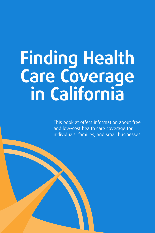# **Finding Health Care Coverage in California**

This booklet offers information about free and low-cost health care coverage for individuals, families, and small businesses.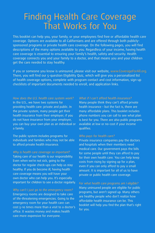# Finding Health Care Coverage That Works for You

This booklet can help you, your family, or your employees find free or affordable health care coverage. Options are available to all Californians and are offered through both publiclysponsored programs or private health care coverage. On the following pages, you will find descriptions of the many options available to you. Regardless of your income, having health care coverage is essential to ensuring your family's health, safety and security. Health coverage connects you and your family to a doctor, and that means you and your children get the care needed to stay healthy.

If you or someone you know is uninsured, please visit our website, www.CoverageForAll.org. There, you will find our 5-question Eligibility Quiz, which will give you a personalized list of health coverage options, complete with program contact and cost information, sign-up checklists of important documents needed to enroll, and application links.

*How does the U.S. health care system work?* In the U.S., we have two systems for providing health care: private and public. In the private system, many people get their health insurance from their employer; if you do not have insurance from your employer, you can buy your own plan as an individual or

The public system includes programs for individuals and families who may not be able to afford private health insurance.

a family.

*Why is health care coverage so important?* Taking care of our health is our responsibility. Even when we're not sick, going to the doctor for regular check-ups can help us stay healthy. If you do become ill, having health care coverage means you will have your own doctor who can help you. It's especially important for children to see a doctor regularly.

*Why can't I just go to the emergency room?* Emergency rooms are designed to take care of life-threatening emergencies. Going to the emergency room for your health care can cost 5–10 times more than a visit to a doctor's office. It wastes money and makes health care more expensive for everyone.

#### *What if I can't afford health insurance?*

Many people think they can't afford private health insurance – but the fact is, there are many affordable plans. This booklet includes phone numbers you can call to see what plan is best for you. There are also public programs available at low or no-cost if your income qualifies.

#### *Who pays for health care?*

Private insurance companies pay the doctors and hospitals when their members need medical care. Our government pays the bills for some people until they can afford to pay for their own health care. You can help keep costs from rising by signing up for a plan, even if you can only afford to pay a small amount. It is important for all of us to have private or public health care coverage.

#### *For what health care programs am I eligible?*

Many uninsured people are eligible for public programs, but aren't signed up. Many others are healthy people who don't realize how affordable health insurance can be. This booklet will help you find the plan that's right for you.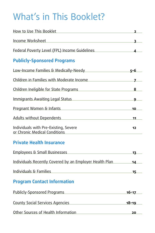# What's in This Booklet?

| How to Use This Booklet                                                            | $\overline{\mathbf{z}}$ |
|------------------------------------------------------------------------------------|-------------------------|
| <u> 1989 - Johann Barbara, martxa alemaniar a</u><br>Income Worksheet              | 3                       |
| Federal Poverty Level (FPL) Income Guidelines                                      | $\Delta$                |
| <b>Publicly-Sponsored Programs</b>                                                 |                         |
| Low-Income Families & Medically-Needy                                              | <u>5-6</u>              |
| Children in Families with Moderate Income                                          | $\mathbf{z}$            |
| Children Ineligible for State Programs                                             | 8                       |
| Immigrants Awaiting Legal Status <b>Status Example 2014</b>                        | <u>و</u>                |
| Pregnant Women & Infants Pregnant Moment & Infants                                 | 10                      |
| Adults without Dependents Adults without Dependents                                | 11                      |
| Individuals with Pre-Existing, Severe<br>or Chronic Medical Conditions             | 12                      |
| <b>Private Health Insurance</b>                                                    |                         |
| Employees & Small Businesses                                                       | 13                      |
| Individuals Recently Covered by an Employer Health Plan                            | 14                      |
| Individuals & Families                                                             | 15                      |
| <b>Program Contact Information</b>                                                 |                         |
| Publicly-Sponsored Programs                                                        | $16 - 17$               |
| County Social Services Agencies                                                    | $18 - 19$               |
| Other Sources of Health Information Manuscriptum and Control of Health Information | 20                      |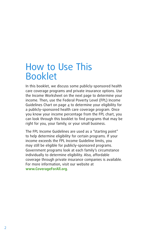# How to Use This Booklet

In this booklet, we discuss some publicly-sponsored health care coverage programs and private insurance options. Use the Income Worksheet on the next page to determine your income. Then, use the Federal Poverty Level (FPL) Income Guidelines Chart on page 4 to determine your eligibility for a publicly-sponsored health care coverage program. Once you know your income percentage from the FPL chart, you can look through this booklet to find programs that may be right for you, your family, or your small business.

The FPL Income Guidelines are used as a "starting point" to help determine eligibility for certain programs. If your income exceeds the FPL Income Guideline limits, you may still be eligible for publicly-sponsored programs. Government programs look at each family's circumstance individually to determine eligibility. Also, affordable coverage through private insurance companies is available. For more information, visit our website at **www.CoverageForAll.org**.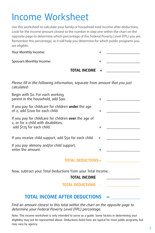# Income Worksheet

Use this worksheet to calculate your family or household total income after deductions. Look for the income amount closest to the number in step one within the chart on the opposite page to determine which percentage of the Federal Poverty Level (FPL) you are. Remember this percentage, as it will help you determine for which public programs you are eligible.

|                          | <b>TOTAL INCOME</b> $=$ |  |
|--------------------------|-------------------------|--|
| Spouse's Monthly Income: |                         |  |
| Your Monthly Income:     |                         |  |

*Please fill in the following information, separate from amount that you just calculated:*

| Begin with \$0. For each working<br>parent in the household, add \$90.                                                     | $+$       |  |  |  |
|----------------------------------------------------------------------------------------------------------------------------|-----------|--|--|--|
| If you pay for childcare for children under the age<br>of 2, add \$200 for each child.                                     | $\ddot{}$ |  |  |  |
| If you pay for childcare for children over the age of<br>2, or for a child with disabilities,<br>add \$175 for each child. | $\pm$     |  |  |  |
| If you receive child support, add \$50 for each child.                                                                     | $+$       |  |  |  |
| If you pay alimony and/or child support,<br>enter the amount.                                                              | $+$       |  |  |  |
| <b>TOTAL DEDUCTIONS=</b>                                                                                                   |           |  |  |  |
| Now, subtract your Total Deductions from your Total Income.<br><b>TOTAL INCOME</b>                                         |           |  |  |  |
| <b>TOTAL DEDUCTIONS</b>                                                                                                    |           |  |  |  |
| <b>TOTAL INCOME AFTER DEDUCTIONS</b>                                                                                       |           |  |  |  |

*Find an amount closest to this total within the chart on the opposite page to determine your Federal Poverty Level (FPL) percentage.*

Note: This income worksheet is only intended to serve as a guide. Some factors in determining your eligibility may not be represented above. Deductions listed here are typical for most public programs, but may vary by agency.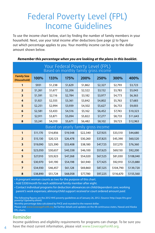# Federal Poverty Level (FPL) Income Guidelines

To use the income chart below, start by finding the number of family members in your household. Next, use your total income after deductions (see page 3) to figure out which percentage applies to you. Your monthly income can be up to the dollar amount shown below.

| Your Federal Poverty Level (FPL)<br>Based on monthly family gross income |          |          |          |          |          |           |           |
|--------------------------------------------------------------------------|----------|----------|----------|----------|----------|-----------|-----------|
| <b>Family Size</b><br>(Household)                                        | 100%     | 133%     | 175%     | 200%     | 250%     | 300%      | 400%      |
| 1                                                                        | \$931    | \$1,238  | \$1,629  | \$1,862  | \$2,327  | \$2,793   | \$3,723   |
| $\overline{2}$                                                           | \$1,261  | \$1,677  | \$2,206  | \$2,522  | \$3,152  | \$3,783   | \$5,043   |
| 3                                                                        | \$1,591  | \$2,116  | \$2,784  | \$3,182  | \$3,977  | \$4,773   | \$6,363   |
| 4                                                                        | \$1,921  | \$2,555  | \$3,361  | \$3,842  | \$4,802  | \$5,763   | \$7,683   |
| 5                                                                        | \$2,251  | \$2,994  | \$3,939  | \$4,502  | \$5,627  | \$6,753   | \$9,003   |
| 6                                                                        | \$2,581  | \$3,433  | \$4,516  | \$5,162  | \$6,452  | \$7,743   | \$10,323  |
| $\overline{ }$                                                           | \$2,911  | \$3,871  | \$5,094  | \$5,822  | \$7,277  | \$8,733   | \$11,643  |
| 8                                                                        | \$3,241  | \$4,310  | \$5,671  | \$6,482  | \$8,102  | \$9,723   | \$12,963  |
| Based on yearly family gross income                                      |          |          |          |          |          |           |           |
| $\mathbf{1}$                                                             | \$11,170 | \$14,856 | \$19,548 | \$22,340 | \$27,925 | \$33,510  | \$44,680  |
| $\overline{2}$                                                           | \$15,130 | \$20,123 | \$26,478 | \$30,260 | \$37,825 | \$45,390  | \$60,520  |
| 3                                                                        | \$19,090 | \$25,390 | \$33,408 | \$38,180 | \$47,725 | \$57,270  | \$76,360  |
| 4                                                                        | \$23,050 | \$30,657 | \$40,338 | \$46,100 | \$57,625 | \$69,150  | \$92,200  |
| 5                                                                        | \$27,010 | \$35,923 | \$47,268 | \$54,020 | \$67,525 | \$81,030  | \$108,040 |
| 6                                                                        | \$30,970 | \$41,190 | \$54,198 | \$61,940 | \$77,425 | \$92,910  | \$123,880 |
| $\overline{7}$                                                           | \$34,930 | \$46,457 | \$61,128 | \$69,860 | \$87,325 | \$104,790 | \$139,720 |
| 8                                                                        | \$38,890 | \$51,724 | \$68,058 | \$77,780 | \$97,225 | \$116,670 | \$155,560 |

#### *Remember this percentage when you are looking at the plans in this booklet.*

• A pregnant woman counts as two for the purpose of this chart.

• Add \$330/month for each additional family member after eight.

• Contact individual programs for deduction allowances on child/dependent care; working parent's work expenses; alimony/child support *received* or court ordered amount *paid.* 

The following figures are the 2012 HHS poverty guidelines as of January 26, 2012. (Source: http://aspe.hhs.gov/ poverty/12poverty.shtml)

Monthly percentage data calculated by FHCE and rounded to the nearest dollar.

Please visit www.CoverageForAll.org for further details and updates on the 48 continuous states, Hawaii and Alaska FPL charts.

## Reminder

Income guidelines and eligibility requirements for programs can change. To be sure you have the most current information, please visit www.CoverageForAll.org.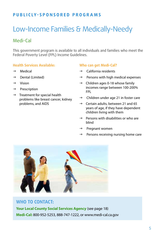# Low-Income Families & Medically-Needy

# Medi-Cal

This government program is available to all individuals and families who meet the Federal Poverty Level (FPL) Income Guidelines.

#### **Health Services Available:**

- $\rightarrow$  Medical
- $\rightarrow$  Dental (Limited)
- $\rightarrow$  Vision
- $\rightarrow$  Prescription
- $\rightarrow$  Treatment for special health problems like breast cancer, kidney problems, and AIDS

#### **Who can get Medi-Cal?**

- $\rightarrow$  California residents
- $\rightarrow$  Persons with high medical expenses
- $\rightarrow$  Children ages 0-18 whose family incomes range between 100-200% FPL
- $\rightarrow$  Children under age 21 in foster care
- $\rightarrow$  Certain adults, between 21 and 65 years of age, if they have dependent children living with them
- $\rightarrow$  Persons with disabilities or who are blind
- $\rightarrow$  Pregnant women
- Persons receiving nursing home care



**Who to contact: Your Local County Social Services Agency** (see page 18) **Medi-Cal:** 800-952-5253, 888-747-1222, or www.medi-cal.ca.gov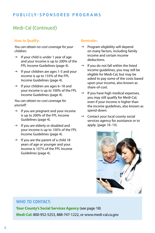# Medi-Cal (Continued)

#### **How to Qualify:**

*You can obtain no-cost coverage for your children:*

- $\rightarrow$  If your child is under 1 year of age and your income is up to 200% of the FPL Income Guidelines (page 4).
- $\rightarrow$  If your children are ages 1-5 and your income is up to 133% of the FPL Income Guidelines (page 4).
- $\rightarrow$  If your children are ages 6–18 and your income is up to 100% of the FPL Income Guidelines (page 4).

*You can obtain no-cost coverage for yourself:*

- $\rightarrow$  If you are pregnant and your income is up to 200% of the FPL Income Guidelines (page 4).
- $\rightarrow$  If you are elderly or disabled and your income is up to 100% of the FPL Income Guidelines (page 4).
- $\rightarrow$  If you are the parent of a child 18 years of age or younger and your income is 107% of the FPL Income Guidelines (page 4).

#### **Reminder:**

- $\rightarrow$  Program eligibility will depend on many factors, including family income and certain income deductions.
- $\rightarrow$  If you do not fall within the listed income guidelines, you may still be eligible for Medi-Cal, but may be asked to pay some of the costs based upon your income, also known as share-of-cost.
- If you have high medical expenses, you may still qualify for Medi-Cal, even if your income is higher than the income guidelines, also known as spend-down.
- $\rightarrow$  Contact your local county social services agency for assistance or to apply. (page 18–19).



# **Who to contact:**

**Your County's Social Services Agency** (see page 18) **Medi-Cal:** 800-952-5253, 888-747-1222, or www.medi-cal.ca.gov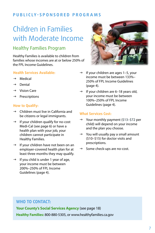# Children in Families with Moderate Income

# Healthy Families Program

Healthy Families is available to children from families whose incomes are at or below 250% of the FPL Income Guidelines.

#### **Health Services Available:**

- $\rightarrow$  Medical
- $\rightarrow$  Dental
- $\rightarrow$  Vision Care
- $\rightarrow$  Prescriptions

#### **How to Qualify:**

- $\rightarrow$  Children must live in California and be citizens or legal immigrants.
- $\rightarrow$  If your children qualify for no-cost Medi-Cal (see page 6) or have a health plan with your job, your children cannot participate in Healthy Families.
- $\rightarrow$  If your children have not been on an employer-covered health plan for at least three months they may qualify.
- $\rightarrow$  If you child is under 1 year of age, your income must be between 200%–250% of FPL Income Guidelines (page 4).



- If your children are ages 1–5, your income must be between 133%– 250% of FPL Income Guidelines (page 4).
- $\rightarrow$  If your children are 6–18 years old, your income must be between 100%–250% of FPL Income Guidelines (page 4).

#### **What Services Cost:**

- $\rightarrow$  Your monthly payment (\$13–\$72 per child) will depend on your income and the plan you choose.
- $\rightarrow$  You will usually pay a small amount (\$10–\$15) for doctor visits and prescriptions.
- $\rightarrow$  Some check-ups are no-cost.

## **Who to contact:**

**Your County's Social Services Agency** (see page 18)

**Healthy Families:** 800-880-5305, or www.healthyfamilies.ca.gov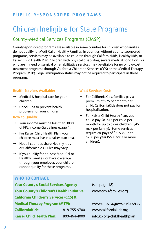# Children Ineligible for State Programs

# County-Medical Services Programs (CMSP)

County-sponsored programs are available in some counties for children who families do not qualify for Medi-Cal or Healthy Families. In counties without county-sponsored programs, services may be available to children through CaliforniaKids, Healthy Kids, or Kaiser Child Health Plan. Children with physical disabilities, severe medical conditions, or who are in need of surgical or rehabilitative services may be eligible for no or low-cost treatment programs through California Children's Services (CCS) or the Medical Therapy Program (MTP). Legal immigration status may not be required to participate in these programs.

#### **Health Services Available:**

- $\rightarrow$  Medical & hospital care for your children
- $\rightarrow$  Check-ups to prevent health problems for your children

#### **How to Qualify:**

- $\rightarrow$  Your income must be less than 300% of FPL Income Guidelines (page 4).
- $\rightarrow$  For Kaiser Child Health Plan, your children must live in a Kaiser plan area.
- $\rightarrow$  Not all counties share Healthy kids or CaliforniaKids. Rules may vary.
- $\rightarrow$  If you qualify for no-cost Medi-Cal or Healthy Families, or have coverage through your employer, your children cannot qualify for these programs.

#### **What Services Cost:**

- $\rightarrow$  For CaliforniaKids, families pay a premium of \$75 per month per child. CaliforniaKids does not pay for hospitalization.
- $\rightarrow$  For Kaiser Child Health Plan, you could pay \$8–\$15 per child per month for up to three children (\$45 max per family). Some services require co-pays of \$5–\$35 up to \$250 per year (\$500 for 2 or more children).

#### **Who to contact:**

| <b>Your County's Social Services Agency</b>        |                              | (see page 18)               |  |
|----------------------------------------------------|------------------------------|-----------------------------|--|
| <b>Your County's Children's Health Initiative:</b> |                              | www.cchi4families.org       |  |
| <b>California Children's Services (CCS) &amp;</b>  |                              |                             |  |
| <b>Medical Therapy Program (MTP):</b>              | www.dhcs.ca.gov/services/ccs |                             |  |
| <b>CaliforniaKids:</b>                             | 818-755-9700                 | www.californiakids.org      |  |
| <b>Kaiser Child Health Plan:</b>                   | 800-464-4000                 | info.kp.org/childhealthplan |  |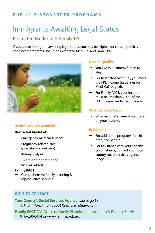# Immigrants Awaiting Legal Status

# Restricted Medi-Cal & Family PACT

If you are an immigrant awaiting legal status, you may be eligible for certain publiclysponsored programs, including Restricted Medi-Cal and Family PACT.



#### **Health Services Available:**

#### **Restricted Medi-Cal:**

- $\rightarrow$  Emergency medical services
- $\rightarrow$  Pregnancy-related care (prenatal and delivery)
- $\rightarrow$  Kidney dialysis
- $\rightarrow$  Treatment for breast and cervical cancer

#### **Family PACT**

 $\rightarrow$  Comprehensive family planning & reproductive services

#### **How to Qualify:**

- $\rightarrow$  You live in California & plan to stay
- $\rightarrow$  For Restricted Medi-Cal, you meet the FPL Income Guidelines for Medi-Cal (page 6).
- $\rightarrow$  For Family PACT, your income must be less than 200% of the FPL Income Guidelines (page 4).

#### **What Services Cost:**

 $\rightarrow$  \$0 or minimal share-of-cost based on your income.

#### **Reminder:**

- $\rightarrow$  For additional programs for children, see page 7.
- $\rightarrow$  For assistance with your specific circumstance, contact your local county social services agency (page 18).

### **Who to contact:**

**Your County's Social Services Agency** (see page 18) *Ask for information about Restricted Medi-Cal.*

**Family PACT** (CA Office of Family Planning's Information & Referral Service): 916-650-0414 or www.familypact.org.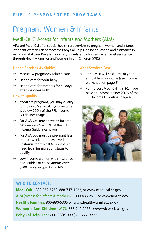# Pregnant Women & Infants

# Medi-Cal & Access for Infants and Mothers (AIM)

AIM and Medi-Cal offer special health care services to pregnant women and infants. Pregnant women can contact the Baby Cal Help Line for education and assistance in early prenatal care. Pregnant women, infants, and children can also get assistance through Healthy Families and Women-Infant-Children (WIC).

#### **Health Services Available:**

- $\rightarrow$  Medical & pregnancy-related care
- $\rightarrow$  Health care for your baby
- $\rightarrow$  Health care for mothers for 60 days after she gives birth

#### **How to Qualify:**

- $\rightarrow$  If you are pregnant, you may qualify for no-cost Medi-Cal if your income is below 200% of the FPL Income Guidelines (page 4).
- $\rightarrow$  For AIM, you must have an income between 200%–300% of the FPL Income Guidelines (page 4).
- $\rightarrow$  For AIM, you must be pregnant less than 31 weeks and have lived in California for at least 6 months. You need legal immigration status to qualify.
- $\rightarrow$  Low-income women with insurance deductibles or co-payments over \$500 may also qualify for AIM.

#### **What Services Cost:**

- $\rightarrow$  For AIM, it will cost 1.5% of your annual family income (see income worksheet on page 3).
- $\rightarrow$  For no-cost Medi-Cal, it is \$0, if you have an income below 200% of the FPL Income Guideline (page 4).



#### **Who to contact:**

**Medi-Cal:** 800-952-5253, 888-747-1222, or www.medi-cal.ca.gov. **AIM** (Access for Infants & Mothers): 800-433-2611 or www.aim.ca.gov **Healthy Families:** 800-880-5305 or www.healthyfamilies.ca.gov **Women-Infant-Children** (WIC): 888-942-9675 www.wicworks.ca.gov **Baby Cal Help Line:** 800-BABY-999 (800-222-9999)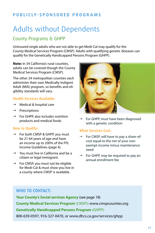# Adults without Dependents

# County Programs & GHPP

Uninsured single adults who are not able to get Medi-Cal may qualify for the County Medical Services Program (CMSP). Adults with qualifying genetic diseases can qualify for the Genetically Handicapped Persons Program (GHPP).

**Note:** In 34 California's rural counties, adults can be covered though the County Medical Services Program (CMSP).

The other 24 metropolitan counties each administer their own Medically-Indigent Adult (MIA) program, so benefits and eligibility standards will vary.

#### **Health Services Available:**

- $\rightarrow$  Medical & hospital care
- $\rightarrow$  Prescriptions
- $\rightarrow$  For GHPP, also includes nutrition products and medical foods

#### **How to Qualify:**

- $\rightarrow$  For both CMSP & GHPP, you must be 21-64 years of age and have an income up to 200% of the FPL Income Guidelines (page 4).
- $\rightarrow$  You must live in California and be a citizen or legal immigrant.
- $\rightarrow$  For CMSP, you must not be eligible for Medi-Cal & must show you live in a county where CMSP is available.



 $\rightarrow$  For GHPP, must have been diagnosed with a genetic condition

#### **What Services Cost:**

- $\rightarrow$  For CMSP, will have to pay a share-ofcost equal to the net of your nonexempt income minus maintenance need
- $\rightarrow$  For GHPP, may be required to pay an annual enrollment fee

### **Who to contact:**

**Your County's Social services Agency** (see page 18) **County Medical Services Program** (CMSP)**:** www.cmspcounties.org **Genetically Handicapped Persons Program** (GHPP): 800-639-0597, 916-327-0470, or www.dhcs.ca.gov/services/ghpp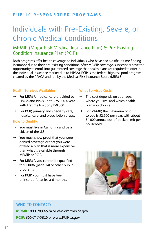# Individuals with Pre-Existing, Severe, or Chronic Medical Conditions

# MRMIP (Major Risk Medical Insurance Plan) & Pre-Existing Condition Insurance Plan (PCIP)

Both programs offer health coverage to individuals who have had a difficult time finding insurance due to their pre-existing conditions. After MRMIP coverage, subscribers have the opportunity to enroll into guaranteed coverage that health plans are required to offer in the individual insurance market due to HIPAA). PCIP is the federal high risk pool program created by the PPACA and run by the Medical Risk Insurance Board (MRMIB).

#### **Health Services Available:**

- $\rightarrow$  For MRMIP, medical care provided by HMOs and PPOs up to \$75,000 a year with lifetime limit of \$750,000
- $\rightarrow$  For PCIP, primary and specialty care, hospital care, and prescription drugs.

#### **How to Qualify:**

- $\rightarrow$  You must live in California and be a citizen of the U.S.
- $\rightarrow$  You must show proof that you were denied coverage or that you were offered a plan that is more expensive than what is available through MRMIP or PCIP.
- $\rightarrow$  For MRMIP, you cannot be qualified for COBRA (page 14) or other public programs.
- $\rightarrow$  For PCIP, you must have been uninsured for at least 6 months.

#### **What Services Cost:**

- $\rightarrow$  The cost depends on your age, where you live, and which health plan you choose.
- $\rightarrow$  For MRMIP, the maximum cost to you is \$2,500 per year, with about \$4,000 annual out-of-pocket limit per household.



### **Who to contact:**

**MRMIP**: 800-289-6574 or www.mrmib.ca.gov **PCIP:** 866-717-5826 or www.PCIP.ca.gov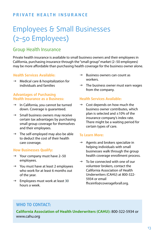# **pri vate health ins u rance**

# Employees & Small Businesses (2–50 Employees)

# Group Health Insurance

Private health insurance is available to small business owners and their employees in California, purchasing insurance through the "small group" market (2–50 employees) may be more affordable than purchasing health coverage for the business owner alone.

#### **Health Services Available:**

 $\rightarrow$  Medical care & hospitalization for individuals and families

#### **Advantages of Purchasing Health Insurance as a Business:**

- $\rightarrow$  In California, you cannot be turned down. Coverage is guaranteed.
- $\rightarrow$  Small business owners may receive certain tax advantages by purchasing small group coverage for themselves and their employees.
- $\rightarrow$  The self-employed may also be able to deduct the cost of their health care coverage.

#### **How Businesses Qualify:**

- $\rightarrow$  Your company must have 2–50 employees.
- $\rightarrow$  You must have at least 2 employees who work for at least 6 months out of the year.
- $\rightarrow$  Employees must work at least 30 hours a week.
- $\rightarrow$  Business owners can count as workers.
- $\rightarrow$  The business owner must earn wages from the company.

#### **Health Services Available:**

 $\rightarrow$  Cost depends on how much the business owner contributes, which plan is selected and ±10% of the insurance company's index rate. There might be a waiting period for certain types of care.

#### **To Learn More:**

- $\rightarrow$  Agents and brokers specialize in helping individuals with small businesses walk through the group health coverage enrollment process.
- $\rightarrow$  To be connected with one of our volunteer brokers, contact the California Association of Health Underwriters (CAHU) at 800-322- 5934 or email fhceinfo@coverageforall.org.

## **Who to contact:**

**California Association of Health Underwriters (CAHU):** 800-322-5934 or www.cahu.org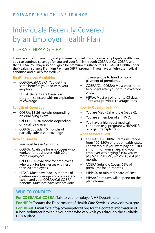## **pri vate health ins u rance**

# Individuals Recently Covered by an Employer Health Plan

# COBRA & HIPAA & HIPP

If you recently lost your job, and you were included in your former employer's health plan, you can continue coverage for you and your family through COBRA or Cal-COBRA, and then HIPAA. You may also be eligible for premium assistance for COBRA/Cal-COBRA under the Health Insurance Premium Payment (HIPP) program, if you have a high-cost medical condition and qualify for Medi-Cal.

#### **Health Services Available:**

- $\rightarrow$  COBRA/Cal-COBRA: You get the same benefits you had with your employer.
- $\rightarrow$  HIPPA: Benefits are based on program selected with no expiration of coverage.

#### **Length of Coverage:**

- $\rightarrow$  COBRA: 18-36 months depending on qualifying event
- $\rightarrow$  Cal-COBRA: 36 months depending on qualifying event
- $\rightarrow$  COBRA Subsidy: 15 months of partially-subsidized coverage

#### **How to Qualify:**

- $\rightarrow$  You must live in California.
- $\rightarrow$  COBRA: Available for employees who worked for businesses with 20 or more employees.
- $\rightarrow$  Cal-COBRA: Available for employees who work for businesses with less than 20 employees.
- $\rightarrow$  HIPAA: Must have had 18 months of continuous coverage and completely exhausted your COBRA/Cal-COBRA benefits. Must not have lost previous

coverage due to fraud or nonpayment of premiums.

- $\rightarrow$  COBRA/Cal-COBRA: Must enroll prior to 60 days after your group coverage ends.
- $\rightarrow$  HIPAA: Must enroll prior to 63 days after your previous coverage ends.

#### **How to Qualify for HIPP:**

- $\rightarrow$  You are Medi-Cal eligible (page 6).
- $\rightarrow$  You are a member of an HMO.
- $\rightarrow$  You have a high-cost medical condition (e.g. pregnancy, HIV/AIDS, or organ transplant).

#### **What Services Cost:**

- g COBRA/Cal-COBRA: Premiums range from 102-150% of group health rates. For example: If you were paying \$100 a month for your share, and your employer was paying \$100, you will pay \$200 plus 2%, which is \$204 per month.
- $\rightarrow$  COBRA Subsidy: Covers 65% of premiums for 15 months.
- $\rightarrow$  HIPP: \$0 or minimal share-of-cost.
- $\rightarrow$  HIPAA: Premiums will depend on the plan chosen.

# **Who to contact:**

**For COBRA/Cal-COBRA:** Talk to your employer's HR Department

**For HIPP:** Contact the Department of Health Care Services -www.dhcs.ca.gov

**For HIPAA:** Email fhceinfo@coverageforall.org for the contact information of a local volunteer broker in your area who can walk you through the available HIPAA plans.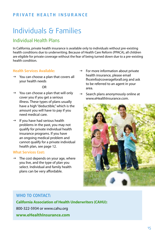# **pri vate health ins u rance**

# Individuals & Families

# Individual Health Plans

In California, private health insurance is available only to individuals without pre-existing health conditions due to underwriting. Because of Health Care Reform (PPACA), all children are eligible for private coverage without the fear of being turned down due to a pre-existing health condition.

#### **Health Services Available:**

 $\rightarrow$  You can choose a plan that covers all your health needs

OR

- $\rightarrow$  You can choose a plan that will only cover you if you get a serious illness. These types of plans usually have a high "deductible," which is the amount you will have to pay if you need medical care.
- $\rightarrow$  If you have had serious health problems in the past, you may not qualify for private individual health insurance programs. If you have an ongoing medical problem and cannot qualify for a private individual health plan, see page 12.

#### **What Services Cost:**

 $\rightarrow$  The cost depends on your age, where you live, and the type of plan you select. Individual and family health plans can be very affordable.

- $\rightarrow$  For more information about private health insurance, please email fhceinfo@coverageforall.org and ask to be referred to an agent in your area.
- Search plans anonymously online at www.eHealthInsurance.com



# **Who to contact:**

**California Association of Health Underwriters (CAHU):** 800-322-5934 or www.cahu.org **www.eHealthInsurance.com**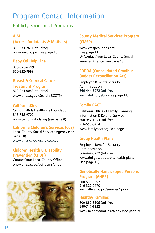# Program Contact Information

# Publicly-Sponsored Programs

#### **AIM**

# **(Access for Infants & Mothers)**

800-433-2611 (toll-free) www.aim.ca.gov (see page 10)

### **Baby Cal Help Line**

800-BABY-999 800-222-9999

### **Breast & Cervical Cancer**

#### **Treatment Program**

800-824-0088 (toll-free) www.dhs.ca.gov (Search: BCCTP)

#### **CaliforniaKids**

CaliforniaKids Healthcare Foundation 818-755-9700 www.californiakids.org (see page 8)

#### **California Children's Services (CCS)**

Local County Social Services Agency (see page 18) www.dhcs.ca.gov/services/ccs

### **Children Health & Disability Prevention (CHDP)**

Contact Your Local County Office www.dhs.ca.gov/pcfh/cms/chdp



## **County Medical Services Program (CMSP)**

www.cmspcounties.org (see page 11) Or Contact Your Local County Social Services Agency (see page 18)

### **COBRA (Consolidated Omnibus Budget Reconciliation Act)**

Employee Benefits Security Administration 866-444-3272 (toll-free) www.dol.gov/ebsa (see page 14)

### **Family PACT**

California Office of Family Planning Information & Referral Service 800-942-1054 (toll-free) 916-650-0414 www.familypact.org (see page 9)

### **Group Health Plans**

Employee Benefits Security Administration 866-444-3272 (toll-free) www.dol.gov/dol/topic/health-plans (see page 13)

#### **Genetically Handicapped Persons Program (GHPP)**

800-639-0597 916-327-0470 www.dhcs.ca.gov/services/ghpp

#### **Healthy Families**

800-880-5305 (toll-free) 888-747-1222 www.healthyfamilies.ca.gov (see page 7)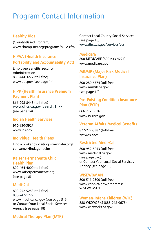# Program Contact Information

#### **Healthy Kids**

(County-Based Program) www.champ-net.org/programs/hkLA.cfm

### **HIPAA (Health Insurance Portability and Accountability Act)**

Employee Benefits Security Administration 866-444-3272 (toll-free) www.dol.gov (see page 14)

### **HIPP (Health Insurance Premium Payment Plan)**

866-298-8443 (toll-free) www.dhcs.ca.gov (Search: HIPP) (see page 14)

#### **Indian Health Services**

916-930-3927 www.ihs.gov

#### **Individual Health Plans**

Find a broker by visiting www.nahu.org/ consumer/findagent.cfm

#### **Kaiser Permanente Child Health Plan**

800-464-4000 (toll-free) www.kaiserpermanente.org (see page 8)

#### **Medi-Cal**

800-952-5253 (toll-free) 888-747-1222 www.medi-cal.ca.gov (see page 5–6) or Contact Your Local Social Services Agency (see page 18)

Contact Local County Social Services (see page 18) www.dhcs.ca.gov/services/ccs

#### **Medicare**

800-MEDICARE (800-633-4227) www.medicare.gov

#### **MRMIP (Major Risk Medical Insurance Plan)**

800-289-6574 (toll-free) www.mrmib.ca.gov (see page 12)

#### **Pre-Existing Condition Insurance Plan (PCIP)**

866-717-5826 www.PCIP.ca.gov

#### **Veteran Affairs Medical Benefits**

877-222-8387 (toll-free) www.va.gov

#### **Restricted Medi-Cal**

800-952-5253 (toll-free) www.medi-cal.ca.gov (see page 5–6) or Contact Your Local Social Services Agency (see page 18)

#### **WISEWOMAN**

800-511-2300 (toll-free) www.cdph.ca.gov/programs/ WISEWOMAN

#### **Women-Infant-Children (WIC)**

888-WICWORKS (888-942-9675) www.wicworks.ca.gov

### **Medical Therapy Plan (MTP)**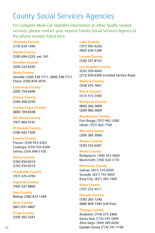# County Social Services Agencies

For complete Medi-Cal eligibility information or other health-related services, please contact your nearest County Social Services Agency at the phone number listed here.

**Alameda County** (510) 639-1090

**Alpine County** (530) 694-2235, ext. 241

**Amador County** (209) 223-6550

**Butte County** Oroville: (530) 538-7711, (800) 538-7711 Chico: (530) 879-3479

**Calaveras County** (209) 754-6448

**Colusa County** (530) 458-0250

**Contra Costa County** (800) 709-8348

**Del Norte County** (707) 464-3191

**El Dorado County** (530) 642-7300

**Fresno County** Fresno: (559) 453-4262 Coalinga: (559) 935-6300 Selma: (559) 898-5100

**Glenn County** (530) 934-6514 (530) 934-6510

**Humboldt County** (707) 476-4700

**Imperial County** (760) 337-6800

**Inyo County** Bishop (760) 872-1394

**Kern County** (661) 631-6807

**Kings County** (559) 582-3241

#### **Lake County**

(707) 995-4200 (800) 628-5288

**Lassen County** (530) 251-8152

**Los Angeles County** (626) 569-4000 (213) 639-6300 (Limited Service Area)

**Madera County** (559) 675-7841

**Marin County** (415) 473-3400

**Mariposa County** (800) 266-3609 (209) 966-3609

**Mendocino County** Fort Bragg: (707) 962-1000 Ukiah: (707) 463-7700

**Merced County** (209) 385-3000

**Modoc County** (530) 233-6501

**Mono County** Bridgeport: (760) 932-5600 Mammoth: (760) 924-1770

**Monterey County** Salinas: (831) 755-8500 Seaside: (831) 755-4650

King City: (831) 385-7400 **Napa County** (707) 253-4511

**Nevada County** (530) 265-1340 (888) 809-1340 (toll-free)

**Orange County**

Anaheim: (714) 575-2400 Santa Ana: (714) 435-5800 Aliso Viejo: (949) 389-8200 Garden Grove (714) 741-7100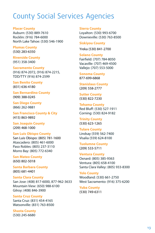# County Social Services Agencies

#### **Placer County**

Auburn: (530) 889-7610 Rocklin: (916) 784-6000 North Lake Tahoe: (530) 546-1900

**Plumas County** (530) 283-6350

**Riverside County** (951) 358-3400

**Sacramento County** (916) 874-2072, (916) 874-2215, TDD/TTY (916) 874-2599

**San Benito County** (831) 636-4180

**San Bernardino County** (909) 388-0245

**San Diego County** (866) 262-9881

**San Francisco County & City** (415) 863-9892

**San Joaquin County** (209) 468-1000

**San Luis Obispo County** San Luis Obispo: (805) 781-1600

Atascadero: (805) 461-6000 Paso Robles: (805) 237-3110 Morro Bay: (805) 772-6340

**San Mateo County** (650) 802-5018

**Santa Barbara County** (805) 681-4401

**Santa Clara County** San Jose: (408) 817-6000, 877-962-3633 Mountain View: (650) 988-6100 Gilroy: (408) 846-3900

**Santa Cruz County** Santa Cruz: (831) 454-4165 Watsonville: (831) 763-8500

**Shasta County** (530) 245-6680

**Sierra County**

Loyalton: (530) 993-6700 Downieville: (530) 763-8500

**Siskiyou County**

Yreka (530) 841-2700

**Solano County** Fairfield: (707) 784-8050 Vacaville: (707) 469-4500 Vallejo: (707) 553-5000

**Sonoma County** 877-699-6868

**Stanislaus County** (209) 558-2777

**Sutter County** (530) 822-7230

**Tehama County** Red Bluff: (530) 527-1911 Corning: (530) 824-9182

**Trinity County** (530) 623-1265

**Tulare County** Lindsay (559) 562-7400 Visalia (559) 624-8100

**Tuolumne County** (209) 533-5711

**Ventura County** Oxnard: (805) 385-9363 Ventura: (805) 658-4100 Santa Clara Valley: (805) 933-8300

**Yolo County** Woodland: (530) 661-2750 West Sacramento: (916) 375-6200

**Yuba County** (530) 749-6311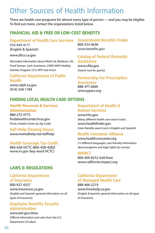# Other Sources of Health Information

There are health care programs for almost every type of person — and you may be eligible. To find out more, contact the organizations listed below.

# **Financial Aid & Free or Low-Cost Benefits**

#### **Department of Health Care Services** 916-445-4171

(English & Spanish)

#### www.dhcs.ca.gov

(Recorded information about Medi-Cal, Medicare, SSI, Food Stamps, Cash Assistance, CMSP, MISP, Healthy Families Program, CCS, MTP and more)

#### **California Department of Public Health**

www.cdph.ca.gov (916) 558-1784

## **Finding Local Health Care Options**

#### **Health Resouces & Services Administration**

888-275-4772 findahealthcenter.hrsa.gov (Find a Health Center by Zip Code)

#### **Self-Help Clearing House** www.mentalhelp.net/selfhelp

#### **Health Coverage Tax Credit**

866-628-HCTC (866-628-4282) www.irs.gov (key word HCTC)

### **Laws & Regulations**

#### **California Department of Insurance**

800-927-4357 www.insurance.ca.gov (English and Spanish; general information on all types of insurance)

#### **Employee Benefits Security Administration**

www.dol.gov/ebsa (Official information and rules from the U.S. Department of Labor)

#### **Government Benefits Finder** 800-333-4636 www.benefits.gov

#### **Catalog of Federal Domestic Assistance**

www.cfda.gov (Search tool for grants)

### **Partnership For Prescription**

**Assistance** 888-477-2669 www.pparx.org

#### **Department of Health & Human Services**

www.hhs.gov (Many different health care search tools) www.healthfinder.gov (User-friendly search tool in English and Spanish)

#### **Health Consumer Alliance**

www.healthconsumer.org (13 different languages; user-friendly information about programs and legal rights by county)

#### **IMPACT**

800-409-8252 (toll-free) www.california-impact.org

### **California Department of Managed Health Care**

888-466-2219 www.hmohelp.ca.gov (English & Spanish; general information on all types of insurance)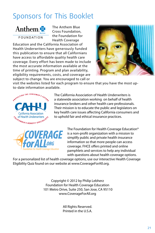# Sponsors for This Booklet



**FOUNDATION** 

The Anthem Blue Cross Foundation, the Foundation for Health Coverage

Education and the California Association of Health Underwriters have generously funded this publication to ensure that all Californians have access to affordable quality health care coverage. Every effort has been made to include the most accurate information available at the time of printing. Program and plan availability, eligibility requirements, costs, and coverage are subject to change. You are encouraged to call or



visit the websites listed for each program to ensure that you have the most upto-date information available.



The California Association of Health Underwriters is a statewide association working on behalf of health insurance brokers and other health care professionals. Their mission is to educate the public and legislators on key health care issues affecting California consumers and to uphold fair and ethical insurance practices.



The Foundation for Health Coverage Education® is a non-profit organization with a mission to simplify public and private health insurance information so that more people can access coverage. FHCE offers printed and online pamphlets and services to help any individual with questions about health coverage options.

For a personalized list of health coverage options, use our interactive Health Coverage Eligibility Quiz found on our website at www.CoverageForAll.org.

> Copyright © 2012 by Philip Lebherz Foundation for Health Coverage Education 101 Metro Drive, Suite 250, San Jose, CA 95110 www.CoverageForAll.org

> > All Rights Reserved. Printed in the U.S.A.